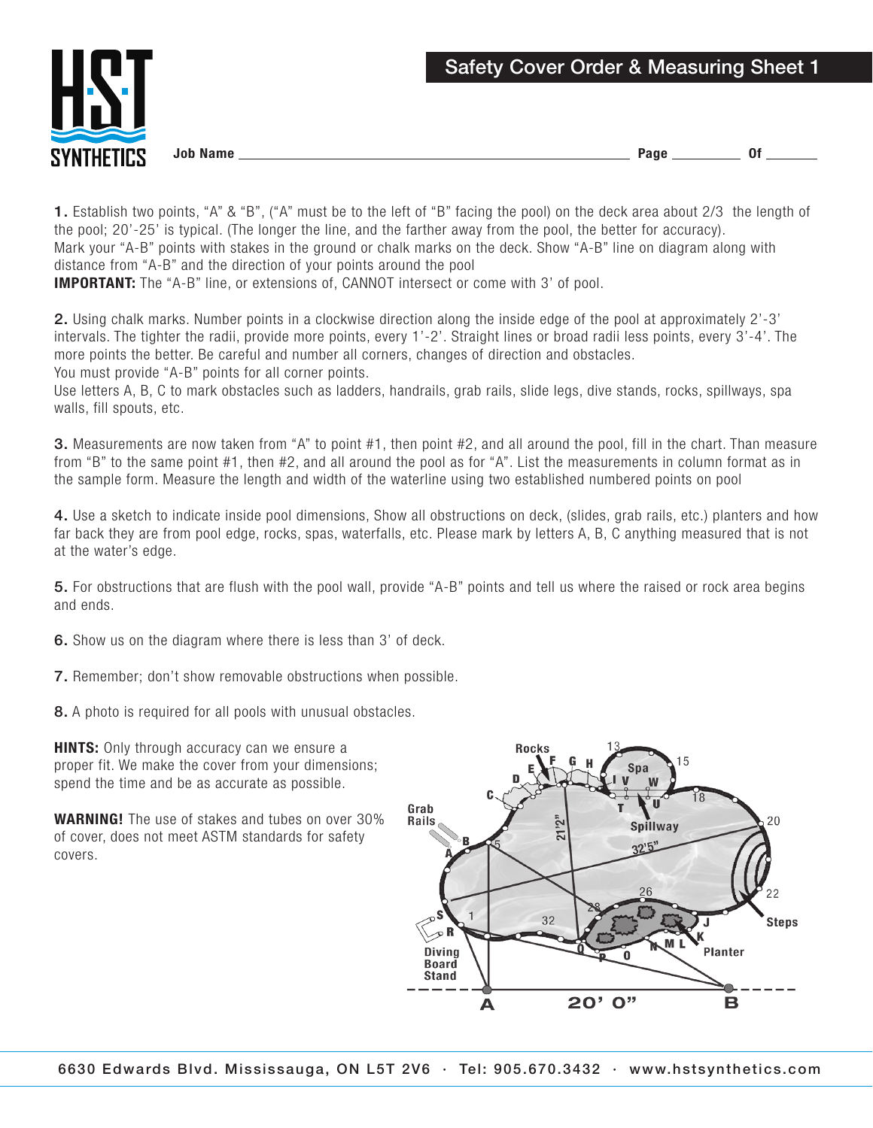

1. Establish two points, "A" & "B", ("A" must be to the left of "B" facing the pool) on the deck area about 2/3 the length of the pool; 20'-25' is typical. (The longer the line, and the farther away from the pool, the better for accuracy). Mark your "A-B" points with stakes in the ground or chalk marks on the deck. Show "A-B" line on diagram along with distance from "A-B" and the direction of your points around the pool IMPORTANT: The "A-B" line, or extensions of, CANNOT intersect or come with 3' of pool.

2. Using chalk marks. Number points in a clockwise direction along the inside edge of the pool at approximately 2'-3' intervals. The tighter the radii, provide more points, every 1'-2'. Straight lines or broad radii less points, every 3'-4'. The more points the better. Be careful and number all corners, changes of direction and obstacles.

You must provide "A-B" points for all corner points.

Use letters A, B, C to mark obstacles such as ladders, handrails, grab rails, slide legs, dive stands, rocks, spillways, spa walls, fill spouts, etc.

3. Measurements are now taken from "A" to point #1, then point #2, and all around the pool, fill in the chart. Than measure from "B" to the same point #1, then #2, and all around the pool as for "A". List the measurements in column format as in the sample form. Measure the length and width of the waterline using two established numbered points on pool

4. Use a sketch to indicate inside pool dimensions, Show all obstructions on deck, (slides, grab rails, etc.) planters and how far back they are from pool edge, rocks, spas, waterfalls, etc. Please mark by letters A, B, C anything measured that is not at the water's edge.

5. For obstructions that are flush with the pool wall, provide "A-B" points and tell us where the raised or rock area begins and ends.

6. Show us on the diagram where there is less than 3' of deck.

7. Remember; don't show removable obstructions when possible.

8. A photo is required for all pools with unusual obstacles.

**HINTS:** Only through accuracy can we ensure a proper fit. We make the cover from your dimensions; spend the time and be as accurate as possible.

WARNING! The use of stakes and tubes on over 30% of cover, does not meet ASTM standards for safety covers.

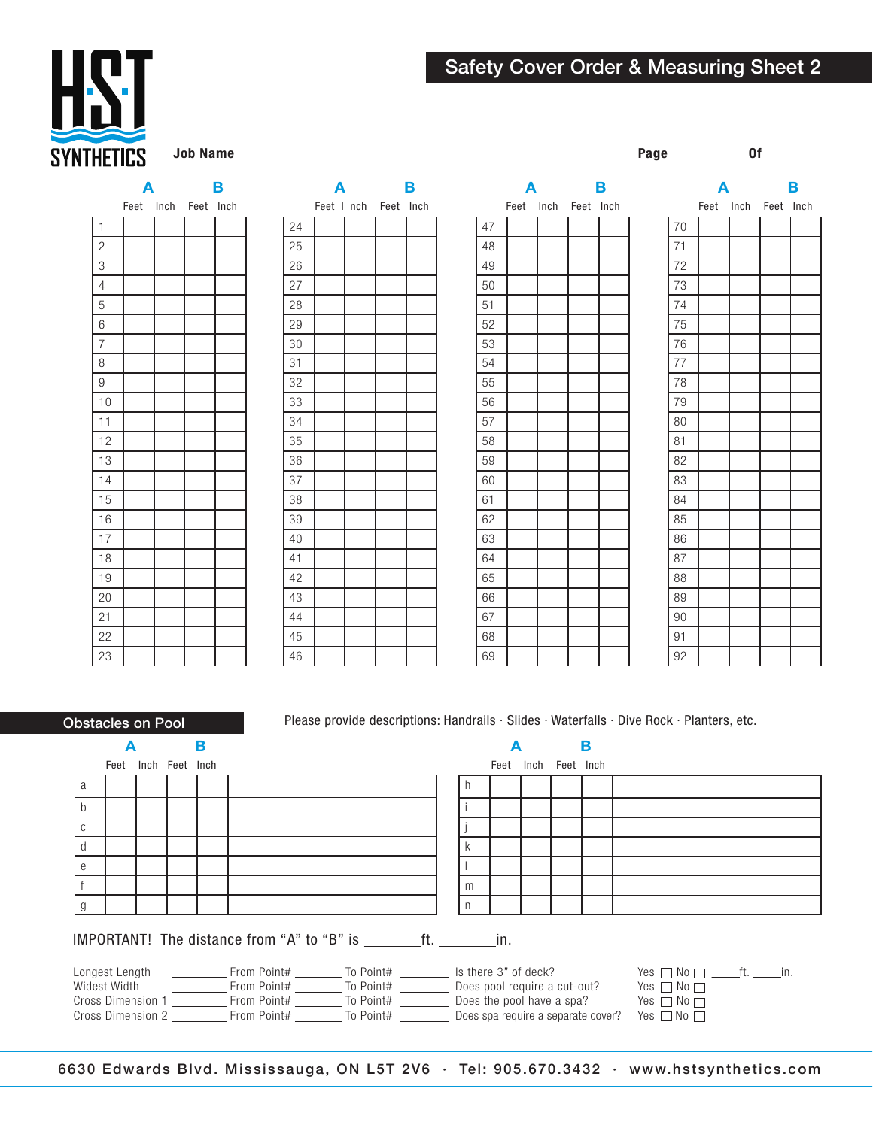

Job Name Page Of



|    | A |            | В         |  |  |  |
|----|---|------------|-----------|--|--|--|
|    |   | Feet I nch | Feet Inch |  |  |  |
| 24 |   |            |           |  |  |  |
| 25 |   |            |           |  |  |  |
| 26 |   |            |           |  |  |  |
| 27 |   |            |           |  |  |  |
| 28 |   |            |           |  |  |  |
| 29 |   |            |           |  |  |  |
| 30 |   |            |           |  |  |  |
| 31 |   |            |           |  |  |  |
| 32 |   |            |           |  |  |  |
| 33 |   |            |           |  |  |  |
| 34 |   |            |           |  |  |  |
| 35 |   |            |           |  |  |  |
| 36 |   |            |           |  |  |  |
| 37 |   |            |           |  |  |  |
| 38 |   |            |           |  |  |  |
| 39 |   |            |           |  |  |  |
| 40 |   |            |           |  |  |  |
| 41 |   |            |           |  |  |  |
| 42 |   |            |           |  |  |  |
| 43 |   |            |           |  |  |  |
| 44 |   |            |           |  |  |  |
| 45 |   |            |           |  |  |  |
| 46 |   |            |           |  |  |  |

|    | A |           |           | В |
|----|---|-----------|-----------|---|
|    |   | Feet Inch | Feet Inch |   |
| 47 |   |           |           |   |
| 48 |   |           |           |   |
| 49 |   |           |           |   |
| 50 |   |           |           |   |
| 51 |   |           |           |   |
| 52 |   |           |           |   |
| 53 |   |           |           |   |
| 54 |   |           |           |   |
| 55 |   |           |           |   |
| 56 |   |           |           |   |
| 57 |   |           |           |   |
| 58 |   |           |           |   |
| 59 |   |           |           |   |
| 60 |   |           |           |   |
| 61 |   |           |           |   |
| 62 |   |           |           |   |
| 63 |   |           |           |   |
| 64 |   |           |           |   |
| 65 |   |           |           |   |
| 66 |   |           |           |   |
| 67 |   |           |           |   |
| 68 |   |           |           |   |
| 69 |   |           |           |   |

|    | Δ    | В              |  |  |  |
|----|------|----------------|--|--|--|
|    | Feet | Inch Feet Inch |  |  |  |
| 70 |      |                |  |  |  |
| 71 |      |                |  |  |  |
| 72 |      |                |  |  |  |
| 73 |      |                |  |  |  |
| 74 |      |                |  |  |  |
| 75 |      |                |  |  |  |
| 76 |      |                |  |  |  |
| 77 |      |                |  |  |  |
| 78 |      |                |  |  |  |
| 79 |      |                |  |  |  |
| 80 |      |                |  |  |  |
| 81 |      |                |  |  |  |
| 82 |      |                |  |  |  |
| 83 |      |                |  |  |  |
| 84 |      |                |  |  |  |
| 85 |      |                |  |  |  |
| 86 |      |                |  |  |  |
| 87 |      |                |  |  |  |
| 88 |      |                |  |  |  |
| 89 |      |                |  |  |  |
| 90 |      |                |  |  |  |
| 91 |      |                |  |  |  |
| 92 |      |                |  |  |  |

Obstacles on Pool Please provide descriptions: Handrails · Slides · Waterfalls · Dive Rock · Planters, etc.

|              |                     | в |  |  |    |                     | в |                                                                                                                                                                                                                                                                                                                                                                                                                 |
|--------------|---------------------|---|--|--|----|---------------------|---|-----------------------------------------------------------------------------------------------------------------------------------------------------------------------------------------------------------------------------------------------------------------------------------------------------------------------------------------------------------------------------------------------------------------|
|              | Feet Inch Feet Inch |   |  |  |    | Feet Inch Feet Inch |   |                                                                                                                                                                                                                                                                                                                                                                                                                 |
| a            |                     |   |  |  | h. |                     |   |                                                                                                                                                                                                                                                                                                                                                                                                                 |
| <sub>b</sub> |                     |   |  |  |    |                     |   |                                                                                                                                                                                                                                                                                                                                                                                                                 |
| $\mathbb{C}$ |                     |   |  |  |    |                     |   |                                                                                                                                                                                                                                                                                                                                                                                                                 |
| d            |                     |   |  |  |    |                     |   |                                                                                                                                                                                                                                                                                                                                                                                                                 |
| $\theta$     |                     |   |  |  |    |                     |   |                                                                                                                                                                                                                                                                                                                                                                                                                 |
|              |                     |   |  |  | m  |                     |   |                                                                                                                                                                                                                                                                                                                                                                                                                 |
| g            |                     |   |  |  | n  |                     |   |                                                                                                                                                                                                                                                                                                                                                                                                                 |
|              |                     |   |  |  |    |                     |   |                                                                                                                                                                                                                                                                                                                                                                                                                 |
|              |                     |   |  |  |    |                     |   | Longest Length $\begin{array}{ccc}\text{I} & \text{I} & \text{I} & \text{I} & \text{I} & \text{I} & \text{I} & \text{I} & \text{I} & \text{I} & \text{I} & \text{I} & \text{I} & \text{I} & \text{I} & \text{I} & \text{I} & \text{I} & \text{I} & \text{I} & \text{I} & \text{I} & \text{I} & \text{I} & \text{I} & \text{I} & \text{I} & \text{I} & \text{I} & \text{I} & \text{I} & \text{I} & \text{I} & \$ |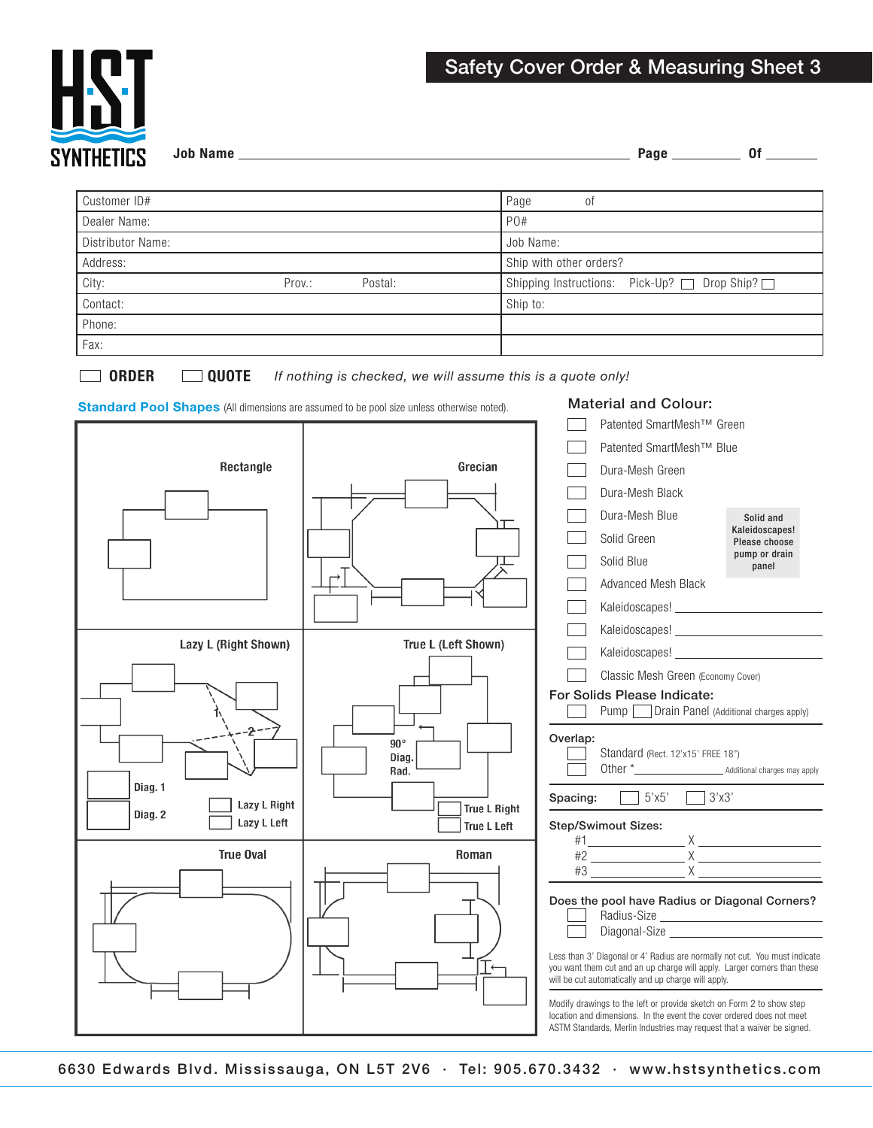

Job Name Page Of

| Customer ID#      |        |         | Page<br>01                                     |
|-------------------|--------|---------|------------------------------------------------|
| Dealer Name:      |        |         | PO#                                            |
| Distributor Name: |        |         | Job Name:                                      |
| Address:          |        |         | Ship with other orders?                        |
| City:             | Prov.: | Postal: | Shipping Instructions: Pick-Up? □ Drop Ship? □ |
| Contact:          |        |         | Ship to:                                       |
| Phone:            |        |         |                                                |
| Fax:              |        |         |                                                |

ORDER QUOTE *If nothing is checked, we will assume this is a quote only!*



Standard Pool Shapes (All dimensions are assumed to be pool size unless otherwise noted). Material and Colour: